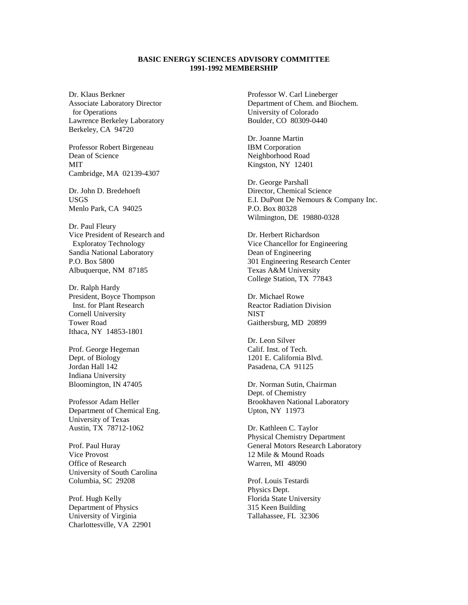## **BASIC ENERGY SCIENCES ADVISORY COMMITTEE 1991-1992 MEMBERSHIP**

Dr. Klaus Berkner Associate Laboratory Director for Operations Lawrence Berkeley Laboratory Berkeley, CA 94720

Professor Robert Birgeneau Dean of Science MIT Cambridge, MA 02139-4307

Dr. John D. Bredehoeft USGS Menlo Park, CA 94025

Dr. Paul Fleury Vice President of Research and Exploratoy Technology Sandia National Laboratory P.O. Box 5800 Albuquerque, NM 87185

Dr. Ralph Hardy President, Boyce Thompson Inst. for Plant Research Cornell University Tower Road Ithaca, NY 14853-1801

Prof. George Hegeman Dept. of Biology Jordan Hall 142 Indiana University Bloomington, IN 47405

Professor Adam Heller Department of Chemical Eng. University of Texas Austin, TX 78712-1062

Prof. Paul Huray Vice Provost Office of Research University of South Carolina Columbia, SC 29208

Prof. Hugh Kelly Department of Physics University of Virginia Charlottesville, VA 22901 Professor W. Carl Lineberger Department of Chem. and Biochem. University of Colorado Boulder, CO 80309-0440

Dr. Joanne Martin IBM Corporation Neighborhood Road Kingston, NY 12401

Dr. George Parshall Director, Chemical Science E.I. DuPont De Nemours & Company Inc. P.O. Box 80328 Wilmington, DE 19880-0328

Dr. Herbert Richardson Vice Chancellor for Engineering Dean of Engineering 301 Engineering Research Center Texas A&M University College Station, TX 77843

Dr. Michael Rowe Reactor Radiation Division **NIST** Gaithersburg, MD 20899

Dr. Leon Silver Calif. Inst. of Tech. 1201 E. California Blvd. Pasadena, CA 91125

Dr. Norman Sutin, Chairman Dept. of Chemistry Brookhaven National Laboratory Upton, NY 11973

Dr. Kathleen C. Taylor Physical Chemistry Department General Motors Research Laboratory 12 Mile & Mound Roads Warren, MI 48090

Prof. Louis Testardi Physics Dept. Florida State University 315 Keen Building Tallahassee, FL 32306